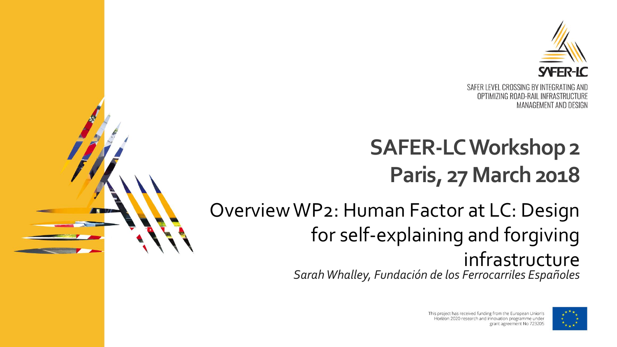

# **SAFER-LC Workshop 2 Paris, 27 March 2018**

Overview WP2: Human Factor at LC: Design for self-explaining and forgiving infrastructure

*Sarah Whalley, Fundación de los Ferrocarriles Españoles*



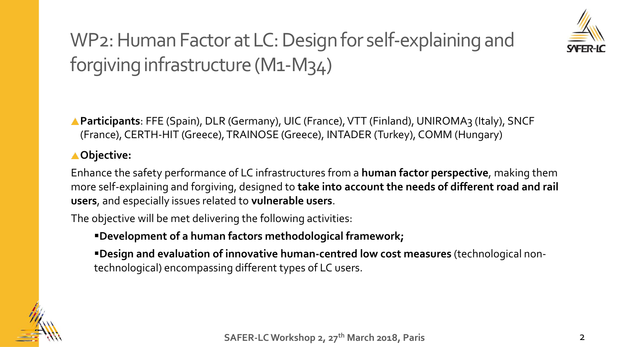

## WP2: Human Factor at LC: Design for self-explaining and forgiving infrastructure (M1-M34)

▲ **Participants**: FFE (Spain), DLR (Germany), UIC (France), VTT (Finland), UNIROMA3 (Italy), SNCF (France), CERTH-HIT (Greece), TRAINOSE (Greece), INTADER (Turkey), COMM (Hungary)

#### **Objective:**

Enhance the safety performance of LC infrastructures from a **human factor perspective**, making them more self-explaining and forgiving, designed to **take into account the needs of different road and rail users**, and especially issues related to **vulnerable users**.

The objective will be met delivering the following activities:

▪**Development of a human factors methodological framework;** 

▪**Design and evaluation of innovative human-centred low cost measures** (technological nontechnological) encompassing different types of LC users.

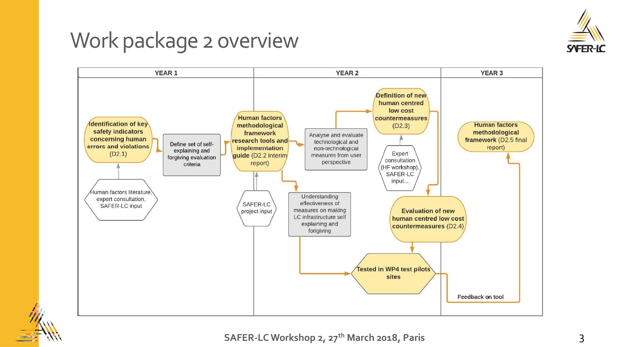

## Work package 2 overview



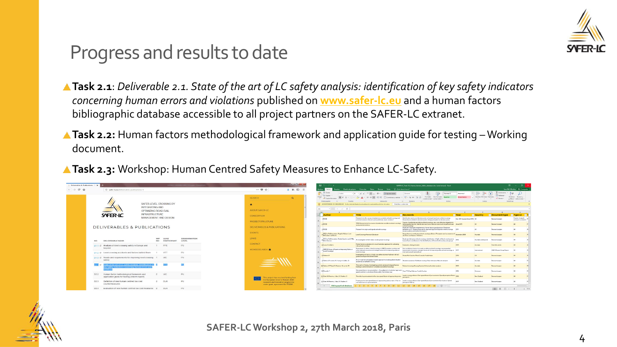

### Progress and results to date

- **Task 2.1**: *Deliverable 2.1. State of the art of LC safety analysis: identification of key safety indicators concerning human errors and violations* published on **[www.safer-lc.eu](http://www.safer-lc.eu/)** and a human factors bibliographic database accessible to all project partners on the SAFER-LC extranet.
- ▲ Task 2.2: Human factors methodological framework and application guide for testing Working document.
- **Task 2.3:** Workshop: Human Centred Safety Measures to Enhance LC-Safety.

| Insertar Diseño de página Fórmulas Datos Revisar Vista V ;Qué desea hacer?<br>$\leftarrow$ $\rightarrow$ $C$ $\Omega$<br>→ 肌 田 三<br>Inicio<br>… 5 ☆<br>4 safer-locu/deliverables-publications-5<br><b>Cortar</b><br>$\sum$ Autosuma $\sqrt{ }$<br>Aw<br>$\cdot$ 20 $\cdot$ A' $\cdot$ $=$ $\equiv$ $-$<br>Calibri<br>P Aiustar texto<br>$\sqrt{4}$ Relienar<br><b>LEAP</b><br><b>En Copiar</b><br>Ordenar Buscary<br>Insertar Eliminar Formato<br>Formate Dar formate Rueno<br>王王 日Combinary centrar · 【 · % ass 】 「 名<br>$s \cdot \cdots \cdot \alpha \cdot A \cdot \equiv \equiv \equiv$<br><b>SEADCH</b><br>$\Omega$<br>Copiar formato<br><b>E</b> Borrer<br>$\sim$<br>endicional - como tabla -<br>$\sim$<br>Fotbas<br>Modificar.<br>Portapapeles<br>Fuente<br>Número<br>Celdas<br>Allineación<br>SAFER LEVEL CROSSING BY<br>ADVERTENCIA DE SEGURIDAD Se ha deshabilitado la actualización automática de los vínculos<br>Habilitar contenido<br>INTEGRATING AND<br>$\mathbf{v}$   $\times$ $\checkmark$ $\check{F}$<br>$\Delta$ 1<br>ABOUT SAFER-LC.<br>OPTIMIZING ROAD-RAIL<br><b>INFRASTRUCTURE</b><br>SYFER-IC<br>$=$ Title<br><b>Author</b><br><b>Executor</b> Key words<br>$\overline{\phantom{a}}$ Country<br>Document type<br>$\blacksquare$ Type LC $\blacksquare$<br>$= Year$<br><b>CONSORTIUM</b><br>MANAGEMENT AND DESIGN<br>Researchinto the causes of pedestrian accidents at level crossings and   Identification and use of decision points at lootpath and uses worked crossings.<br>Parsive footpath<br>1 RSSB<br>Dec 2013 (revised June 2015) UK<br><b>Plesearch project</b><br>Human Factors related to decision points; Design principles for decision points<br>potential solutions: Decision point preliminary report: revision 1<br><b>PROJECT STRUCTURE</b><br>Causes of pedestrian accidents atlevel crossings; new cost-effective mitigations to<br>T384 Research interfire o aussex of pedemian accidents at level crossings<br>$2$ RS50<br>action out. The Hughest in strategies and served for another price of the relation pole and one<br>Fleeearchgeoject<br>and potential rolutions<br>worked orossings<br>DELIVERABLES & PUBLICATIONS<br>DELIVERABLES & PUBLICATIONS<br>Road uner information requirements: Human factors good practice: Road user<br>a resso<br>Researchinto signs and signals at level crossings<br>behaviour at LC: Design-proposals for improved signs and signals at level crossings [2011<br>Pleasanchipscient<br>stead, audtors and tacific information)<br>EVENTS<br>CRC for Rail Innovation: Angela Vallace , Leui<br>Human factors contributing to level crossing collisions: Perception and acceptance of November 2008<br>Level Crossings Research Database<br>Australia<br>Researchipsclect<br>McCusher, Likeblanch<br>risk: Encry and lappes: Violations<br>LINKS<br><b>LEAD</b><br><b>DISSEMINATION</b><br>WP.<br>CFC for Rail Innovation: Amelia Searle, Lee DIMia,<br>Road user behaviour at level crossings; identification of high-risk level crossing users:   2012<br>An investigation of risk-takers at raily autovel prostings<br><b>Bustissin and beyond</b><br><b>Fingearch project</b><br>human factor contributors to the side behaviour of these level crossing user groups:<br>Day Day on<br>NO.<br><b>LEVEL</b><br>DELIVEDARLE NAME<br><b>PARTICIPANT</b><br>CONTACT<br>Human factors evaluation of a novel Australian approach for activating<br>2015<br><b>B</b> Lance & Wullema<br>Evaluation, driving strudator<br>Australia<br>Scientific article<br>PU.<br>D1.1 @ Analysis of level crossing safety in Europe and<br>1 FFE<br>raily avievel crossings<br>beyond<br>Assessment of safets at level crossings in UNECE member countries and  Key contributors factors to unsafe conditions at level crossings, recommended<br>MEMBERS AREA<br>UNECE (Group of Expens on Improving Safety a<br><b>LINECE Expert Geoup Report</b><br>other selected countries and maregic framework for improving safety at<br>improvement measures, strategic framework for improving safety at level crossings at 2017<br>International<br>Level Crossmast<br>international and national level<br>level crossings<br>PU-<br>D1.2 C Level crossing accidents and factors behind them<br>VIT<br>beerless weight enough selfense of the fourthe fourthe file principles<br>Private Risk Crashes Mixed Casuahu Fatalnulnium<br>2015<br>US.<br>D Haleem, K<br><b>Please anchipager</b><br>grade orossings in the United States<br>PU.<br>D1.3 cf Needs and requirements for improving level crossing 1 UIC<br>An on-road network analysis-based approach to studying driver situation<br>safety<br>3 Salmon, P. Lenné, M. Young, K. Malker, G.<br>Situation av arrenezz Pallieuel croczingz Driver behaviour Network analyzic<br>2013<br>Aumala<br>Basanyikinansi<br>avareness at radiovel crossing<br>of the art of LC safety analysis identification of 2<br>The crash at Kerang: Investigating systemic and psychological factors<br>10 Salmon, P. Read, G. Stanton, N. Lenné, M.<br>2013<br>Rail evel orossings Kerang Systems Schema Accident analysis<br>Australia<br>Research paper<br>inading to unintentional non-complange at rail level crossings<br>ey safety indicators concerning human errors at<br>Size speed bias or size anival effect - How judgments of vehicles' approach Time TTA Gap Railways Trucks Crashez<br>2016<br>11 Petroldt.<br>Research paper<br>Germany<br>speed and time to antical are influenced by the vehicles' size.<br>Human factor methodological framework and<br><b>UIC</b><br>PU<br>D2.2<br>Level crossing collisions Size-speed illusion Eye movements Speed perception Motion anns.<br>12 Clark, H. Perrone, J. Isler, R. Charlton, S.<br>The tole of eye movements in the size-speed Busion of approaching trains<br>New Zealand<br>Research paper<br>application guide for testing (interim report)<br>namansin<br>This project has received funding from<br>e European Union's Horizon 2020<br>Fasting on the stre-speed Busin of approaching rate as trains: What we Level crossing collisions Size-speed Busin Townsens David to Business Speed<br><b>DLR</b><br><b>PH</b><br>D <sub>2.3</sub><br>Definition of new human centred low cost<br><b>DOM</b><br>13 Clark, H. Pemone, J. Islan, R. Charlton, S.<br>Nev Zealand<br>Research paper<br>research and innovation programme<br>can learn from our eve movements<br>perception Railray<br>countermeasures<br>under grant agreement No 723205<br>$112341$ $1314561$ $1718191$ $1011112131$ $141131$ $15130131$ $181$ $911$ | Deliverables & Publications > X | <b>CONTRACTOR</b> | $\mathbf{H}$                    | SAFER-LC Task 2.1 Human factors biblio database.sfor fsolo lectural - Facel | $\sim$                        |
|-----------------------------------------------------------------------------------------------------------------------------------------------------------------------------------------------------------------------------------------------------------------------------------------------------------------------------------------------------------------------------------------------------------------------------------------------------------------------------------------------------------------------------------------------------------------------------------------------------------------------------------------------------------------------------------------------------------------------------------------------------------------------------------------------------------------------------------------------------------------------------------------------------------------------------------------------------------------------------------------------------------------------------------------------------------------------------------------------------------------------------------------------------------------------------------------------------------------------------------------------------------------------------------------------------------------------------------------------------------------------------------------------------------------------------------------------------------------------------------------------------------------------------------------------------------------------------------------------------------------------------------------------------------------------------------------------------------------------------------------------------------------------------------------------------------------------------------------------------------------------------------------------------------------------------------------------------------------------------------------------------------------------------------------------------------------------------------------------------------------------------------------------------------------------------------------------------------------------------------------------------------------------------------------------------------------------------------------------------------------------------------------------------------------------------------------------------------------------------------------------------------------------------------------------------------------------------------------------------------------------------------------------------------------------------------------------------------------------------------------------------------------------------------------------------------------------------------------------------------------------------------------------------------------------------------------------------------------------------------------------------------------------------------------------------------------------------------------------------------------------------------------------------------------------------------------------------------------------------------------------------------------------------------------------------------------------------------------------------------------------------------------------------------------------------------------------------------------------------------------------------------------------------------------------------------------------------------------------------------------------------------------------------------------------------------------------------------------------------------------------------------------------------------------------------------------------------------------------------------------------------------------------------------------------------------------------------------------------------------------------------------------------------------------------------------------------------------------------------------------------------------------------------------------------------------------------------------------------------------------------------------------------------------------------------------------------------------------------------------------------------------------------------------------------------------------------------------------------------------------------------------------------------------------------------------------------------------------------------------------------------------------------------------------------------------------------------------------------------------------------------------------------------------------------------------------------------------------------------------------------------------------------------------------------------------------------------------------------------------------------------------------------------------------------------------------------------------------------------------------------------------------------------------------------------------------------------------------------------------------------------------------------------------------------------------------------------------------------------------------------------------------------------------------------------------------------------------------------------------------------------------------------------------------------------------------------------------------------------------------------------------------------------------------------------------------------------------------------------------------------------------------------------------------------------------------------------------------------------------------------------------------------------------------------------------------------------------------------------------------------------------------------------------------------------------------------------------------------------------------------------------------------------------------------------------------------------------------------------------------------------------------------------------------------------------------------------------------------------------------------------------------------------------------------------------------------------------------------------------------------------------------------------------------------------------------------------------------------------|---------------------------------|-------------------|---------------------------------|-----------------------------------------------------------------------------|-------------------------------|
|                                                                                                                                                                                                                                                                                                                                                                                                                                                                                                                                                                                                                                                                                                                                                                                                                                                                                                                                                                                                                                                                                                                                                                                                                                                                                                                                                                                                                                                                                                                                                                                                                                                                                                                                                                                                                                                                                                                                                                                                                                                                                                                                                                                                                                                                                                                                                                                                                                                                                                                                                                                                                                                                                                                                                                                                                                                                                                                                                                                                                                                                                                                                                                                                                                                                                                                                                                                                                                                                                                                                                                                                                                                                                                                                                                                                                                                                                                                                                                                                                                                                                                                                                                                                                                                                                                                                                                                                                                                                                                                                                                                                                                                                                                                                                                                                                                                                                                                                                                                                                                                                                                                                                                                                                                                                                                                                                                                                                                                                                                                                                                                                                                                                                                                                                                                                                                                                                                                                                                                                                                                                                                                                                                                                                                                                                                                                                                                                                                                                                                                                                                                                     |                                 |                   |                                 |                                                                             | Sara SW. Whalley Q. Compartir |
|                                                                                                                                                                                                                                                                                                                                                                                                                                                                                                                                                                                                                                                                                                                                                                                                                                                                                                                                                                                                                                                                                                                                                                                                                                                                                                                                                                                                                                                                                                                                                                                                                                                                                                                                                                                                                                                                                                                                                                                                                                                                                                                                                                                                                                                                                                                                                                                                                                                                                                                                                                                                                                                                                                                                                                                                                                                                                                                                                                                                                                                                                                                                                                                                                                                                                                                                                                                                                                                                                                                                                                                                                                                                                                                                                                                                                                                                                                                                                                                                                                                                                                                                                                                                                                                                                                                                                                                                                                                                                                                                                                                                                                                                                                                                                                                                                                                                                                                                                                                                                                                                                                                                                                                                                                                                                                                                                                                                                                                                                                                                                                                                                                                                                                                                                                                                                                                                                                                                                                                                                                                                                                                                                                                                                                                                                                                                                                                                                                                                                                                                                                                                     |                                 |                   |                                 |                                                                             |                               |
|                                                                                                                                                                                                                                                                                                                                                                                                                                                                                                                                                                                                                                                                                                                                                                                                                                                                                                                                                                                                                                                                                                                                                                                                                                                                                                                                                                                                                                                                                                                                                                                                                                                                                                                                                                                                                                                                                                                                                                                                                                                                                                                                                                                                                                                                                                                                                                                                                                                                                                                                                                                                                                                                                                                                                                                                                                                                                                                                                                                                                                                                                                                                                                                                                                                                                                                                                                                                                                                                                                                                                                                                                                                                                                                                                                                                                                                                                                                                                                                                                                                                                                                                                                                                                                                                                                                                                                                                                                                                                                                                                                                                                                                                                                                                                                                                                                                                                                                                                                                                                                                                                                                                                                                                                                                                                                                                                                                                                                                                                                                                                                                                                                                                                                                                                                                                                                                                                                                                                                                                                                                                                                                                                                                                                                                                                                                                                                                                                                                                                                                                                                                                     |                                 |                   |                                 |                                                                             | v filtrar - seleccionar -     |
|                                                                                                                                                                                                                                                                                                                                                                                                                                                                                                                                                                                                                                                                                                                                                                                                                                                                                                                                                                                                                                                                                                                                                                                                                                                                                                                                                                                                                                                                                                                                                                                                                                                                                                                                                                                                                                                                                                                                                                                                                                                                                                                                                                                                                                                                                                                                                                                                                                                                                                                                                                                                                                                                                                                                                                                                                                                                                                                                                                                                                                                                                                                                                                                                                                                                                                                                                                                                                                                                                                                                                                                                                                                                                                                                                                                                                                                                                                                                                                                                                                                                                                                                                                                                                                                                                                                                                                                                                                                                                                                                                                                                                                                                                                                                                                                                                                                                                                                                                                                                                                                                                                                                                                                                                                                                                                                                                                                                                                                                                                                                                                                                                                                                                                                                                                                                                                                                                                                                                                                                                                                                                                                                                                                                                                                                                                                                                                                                                                                                                                                                                                                                     |                                 |                   |                                 |                                                                             |                               |
|                                                                                                                                                                                                                                                                                                                                                                                                                                                                                                                                                                                                                                                                                                                                                                                                                                                                                                                                                                                                                                                                                                                                                                                                                                                                                                                                                                                                                                                                                                                                                                                                                                                                                                                                                                                                                                                                                                                                                                                                                                                                                                                                                                                                                                                                                                                                                                                                                                                                                                                                                                                                                                                                                                                                                                                                                                                                                                                                                                                                                                                                                                                                                                                                                                                                                                                                                                                                                                                                                                                                                                                                                                                                                                                                                                                                                                                                                                                                                                                                                                                                                                                                                                                                                                                                                                                                                                                                                                                                                                                                                                                                                                                                                                                                                                                                                                                                                                                                                                                                                                                                                                                                                                                                                                                                                                                                                                                                                                                                                                                                                                                                                                                                                                                                                                                                                                                                                                                                                                                                                                                                                                                                                                                                                                                                                                                                                                                                                                                                                                                                                                                                     |                                 |                   |                                 |                                                                             |                               |
|                                                                                                                                                                                                                                                                                                                                                                                                                                                                                                                                                                                                                                                                                                                                                                                                                                                                                                                                                                                                                                                                                                                                                                                                                                                                                                                                                                                                                                                                                                                                                                                                                                                                                                                                                                                                                                                                                                                                                                                                                                                                                                                                                                                                                                                                                                                                                                                                                                                                                                                                                                                                                                                                                                                                                                                                                                                                                                                                                                                                                                                                                                                                                                                                                                                                                                                                                                                                                                                                                                                                                                                                                                                                                                                                                                                                                                                                                                                                                                                                                                                                                                                                                                                                                                                                                                                                                                                                                                                                                                                                                                                                                                                                                                                                                                                                                                                                                                                                                                                                                                                                                                                                                                                                                                                                                                                                                                                                                                                                                                                                                                                                                                                                                                                                                                                                                                                                                                                                                                                                                                                                                                                                                                                                                                                                                                                                                                                                                                                                                                                                                                                                     |                                 |                   |                                 |                                                                             |                               |
|                                                                                                                                                                                                                                                                                                                                                                                                                                                                                                                                                                                                                                                                                                                                                                                                                                                                                                                                                                                                                                                                                                                                                                                                                                                                                                                                                                                                                                                                                                                                                                                                                                                                                                                                                                                                                                                                                                                                                                                                                                                                                                                                                                                                                                                                                                                                                                                                                                                                                                                                                                                                                                                                                                                                                                                                                                                                                                                                                                                                                                                                                                                                                                                                                                                                                                                                                                                                                                                                                                                                                                                                                                                                                                                                                                                                                                                                                                                                                                                                                                                                                                                                                                                                                                                                                                                                                                                                                                                                                                                                                                                                                                                                                                                                                                                                                                                                                                                                                                                                                                                                                                                                                                                                                                                                                                                                                                                                                                                                                                                                                                                                                                                                                                                                                                                                                                                                                                                                                                                                                                                                                                                                                                                                                                                                                                                                                                                                                                                                                                                                                                                                     |                                 |                   |                                 |                                                                             |                               |
|                                                                                                                                                                                                                                                                                                                                                                                                                                                                                                                                                                                                                                                                                                                                                                                                                                                                                                                                                                                                                                                                                                                                                                                                                                                                                                                                                                                                                                                                                                                                                                                                                                                                                                                                                                                                                                                                                                                                                                                                                                                                                                                                                                                                                                                                                                                                                                                                                                                                                                                                                                                                                                                                                                                                                                                                                                                                                                                                                                                                                                                                                                                                                                                                                                                                                                                                                                                                                                                                                                                                                                                                                                                                                                                                                                                                                                                                                                                                                                                                                                                                                                                                                                                                                                                                                                                                                                                                                                                                                                                                                                                                                                                                                                                                                                                                                                                                                                                                                                                                                                                                                                                                                                                                                                                                                                                                                                                                                                                                                                                                                                                                                                                                                                                                                                                                                                                                                                                                                                                                                                                                                                                                                                                                                                                                                                                                                                                                                                                                                                                                                                                                     |                                 |                   |                                 |                                                                             |                               |
|                                                                                                                                                                                                                                                                                                                                                                                                                                                                                                                                                                                                                                                                                                                                                                                                                                                                                                                                                                                                                                                                                                                                                                                                                                                                                                                                                                                                                                                                                                                                                                                                                                                                                                                                                                                                                                                                                                                                                                                                                                                                                                                                                                                                                                                                                                                                                                                                                                                                                                                                                                                                                                                                                                                                                                                                                                                                                                                                                                                                                                                                                                                                                                                                                                                                                                                                                                                                                                                                                                                                                                                                                                                                                                                                                                                                                                                                                                                                                                                                                                                                                                                                                                                                                                                                                                                                                                                                                                                                                                                                                                                                                                                                                                                                                                                                                                                                                                                                                                                                                                                                                                                                                                                                                                                                                                                                                                                                                                                                                                                                                                                                                                                                                                                                                                                                                                                                                                                                                                                                                                                                                                                                                                                                                                                                                                                                                                                                                                                                                                                                                                                                     |                                 |                   |                                 |                                                                             | and user-warked LC            |
|                                                                                                                                                                                                                                                                                                                                                                                                                                                                                                                                                                                                                                                                                                                                                                                                                                                                                                                                                                                                                                                                                                                                                                                                                                                                                                                                                                                                                                                                                                                                                                                                                                                                                                                                                                                                                                                                                                                                                                                                                                                                                                                                                                                                                                                                                                                                                                                                                                                                                                                                                                                                                                                                                                                                                                                                                                                                                                                                                                                                                                                                                                                                                                                                                                                                                                                                                                                                                                                                                                                                                                                                                                                                                                                                                                                                                                                                                                                                                                                                                                                                                                                                                                                                                                                                                                                                                                                                                                                                                                                                                                                                                                                                                                                                                                                                                                                                                                                                                                                                                                                                                                                                                                                                                                                                                                                                                                                                                                                                                                                                                                                                                                                                                                                                                                                                                                                                                                                                                                                                                                                                                                                                                                                                                                                                                                                                                                                                                                                                                                                                                                                                     |                                 |                   |                                 |                                                                             |                               |
|                                                                                                                                                                                                                                                                                                                                                                                                                                                                                                                                                                                                                                                                                                                                                                                                                                                                                                                                                                                                                                                                                                                                                                                                                                                                                                                                                                                                                                                                                                                                                                                                                                                                                                                                                                                                                                                                                                                                                                                                                                                                                                                                                                                                                                                                                                                                                                                                                                                                                                                                                                                                                                                                                                                                                                                                                                                                                                                                                                                                                                                                                                                                                                                                                                                                                                                                                                                                                                                                                                                                                                                                                                                                                                                                                                                                                                                                                                                                                                                                                                                                                                                                                                                                                                                                                                                                                                                                                                                                                                                                                                                                                                                                                                                                                                                                                                                                                                                                                                                                                                                                                                                                                                                                                                                                                                                                                                                                                                                                                                                                                                                                                                                                                                                                                                                                                                                                                                                                                                                                                                                                                                                                                                                                                                                                                                                                                                                                                                                                                                                                                                                                     |                                 |                   |                                 |                                                                             |                               |
|                                                                                                                                                                                                                                                                                                                                                                                                                                                                                                                                                                                                                                                                                                                                                                                                                                                                                                                                                                                                                                                                                                                                                                                                                                                                                                                                                                                                                                                                                                                                                                                                                                                                                                                                                                                                                                                                                                                                                                                                                                                                                                                                                                                                                                                                                                                                                                                                                                                                                                                                                                                                                                                                                                                                                                                                                                                                                                                                                                                                                                                                                                                                                                                                                                                                                                                                                                                                                                                                                                                                                                                                                                                                                                                                                                                                                                                                                                                                                                                                                                                                                                                                                                                                                                                                                                                                                                                                                                                                                                                                                                                                                                                                                                                                                                                                                                                                                                                                                                                                                                                                                                                                                                                                                                                                                                                                                                                                                                                                                                                                                                                                                                                                                                                                                                                                                                                                                                                                                                                                                                                                                                                                                                                                                                                                                                                                                                                                                                                                                                                                                                                                     |                                 |                   |                                 |                                                                             |                               |
|                                                                                                                                                                                                                                                                                                                                                                                                                                                                                                                                                                                                                                                                                                                                                                                                                                                                                                                                                                                                                                                                                                                                                                                                                                                                                                                                                                                                                                                                                                                                                                                                                                                                                                                                                                                                                                                                                                                                                                                                                                                                                                                                                                                                                                                                                                                                                                                                                                                                                                                                                                                                                                                                                                                                                                                                                                                                                                                                                                                                                                                                                                                                                                                                                                                                                                                                                                                                                                                                                                                                                                                                                                                                                                                                                                                                                                                                                                                                                                                                                                                                                                                                                                                                                                                                                                                                                                                                                                                                                                                                                                                                                                                                                                                                                                                                                                                                                                                                                                                                                                                                                                                                                                                                                                                                                                                                                                                                                                                                                                                                                                                                                                                                                                                                                                                                                                                                                                                                                                                                                                                                                                                                                                                                                                                                                                                                                                                                                                                                                                                                                                                                     |                                 |                   |                                 |                                                                             |                               |
|                                                                                                                                                                                                                                                                                                                                                                                                                                                                                                                                                                                                                                                                                                                                                                                                                                                                                                                                                                                                                                                                                                                                                                                                                                                                                                                                                                                                                                                                                                                                                                                                                                                                                                                                                                                                                                                                                                                                                                                                                                                                                                                                                                                                                                                                                                                                                                                                                                                                                                                                                                                                                                                                                                                                                                                                                                                                                                                                                                                                                                                                                                                                                                                                                                                                                                                                                                                                                                                                                                                                                                                                                                                                                                                                                                                                                                                                                                                                                                                                                                                                                                                                                                                                                                                                                                                                                                                                                                                                                                                                                                                                                                                                                                                                                                                                                                                                                                                                                                                                                                                                                                                                                                                                                                                                                                                                                                                                                                                                                                                                                                                                                                                                                                                                                                                                                                                                                                                                                                                                                                                                                                                                                                                                                                                                                                                                                                                                                                                                                                                                                                                                     |                                 |                   |                                 |                                                                             |                               |
|                                                                                                                                                                                                                                                                                                                                                                                                                                                                                                                                                                                                                                                                                                                                                                                                                                                                                                                                                                                                                                                                                                                                                                                                                                                                                                                                                                                                                                                                                                                                                                                                                                                                                                                                                                                                                                                                                                                                                                                                                                                                                                                                                                                                                                                                                                                                                                                                                                                                                                                                                                                                                                                                                                                                                                                                                                                                                                                                                                                                                                                                                                                                                                                                                                                                                                                                                                                                                                                                                                                                                                                                                                                                                                                                                                                                                                                                                                                                                                                                                                                                                                                                                                                                                                                                                                                                                                                                                                                                                                                                                                                                                                                                                                                                                                                                                                                                                                                                                                                                                                                                                                                                                                                                                                                                                                                                                                                                                                                                                                                                                                                                                                                                                                                                                                                                                                                                                                                                                                                                                                                                                                                                                                                                                                                                                                                                                                                                                                                                                                                                                                                                     |                                 |                   |                                 |                                                                             |                               |
|                                                                                                                                                                                                                                                                                                                                                                                                                                                                                                                                                                                                                                                                                                                                                                                                                                                                                                                                                                                                                                                                                                                                                                                                                                                                                                                                                                                                                                                                                                                                                                                                                                                                                                                                                                                                                                                                                                                                                                                                                                                                                                                                                                                                                                                                                                                                                                                                                                                                                                                                                                                                                                                                                                                                                                                                                                                                                                                                                                                                                                                                                                                                                                                                                                                                                                                                                                                                                                                                                                                                                                                                                                                                                                                                                                                                                                                                                                                                                                                                                                                                                                                                                                                                                                                                                                                                                                                                                                                                                                                                                                                                                                                                                                                                                                                                                                                                                                                                                                                                                                                                                                                                                                                                                                                                                                                                                                                                                                                                                                                                                                                                                                                                                                                                                                                                                                                                                                                                                                                                                                                                                                                                                                                                                                                                                                                                                                                                                                                                                                                                                                                                     |                                 |                   |                                 |                                                                             |                               |
|                                                                                                                                                                                                                                                                                                                                                                                                                                                                                                                                                                                                                                                                                                                                                                                                                                                                                                                                                                                                                                                                                                                                                                                                                                                                                                                                                                                                                                                                                                                                                                                                                                                                                                                                                                                                                                                                                                                                                                                                                                                                                                                                                                                                                                                                                                                                                                                                                                                                                                                                                                                                                                                                                                                                                                                                                                                                                                                                                                                                                                                                                                                                                                                                                                                                                                                                                                                                                                                                                                                                                                                                                                                                                                                                                                                                                                                                                                                                                                                                                                                                                                                                                                                                                                                                                                                                                                                                                                                                                                                                                                                                                                                                                                                                                                                                                                                                                                                                                                                                                                                                                                                                                                                                                                                                                                                                                                                                                                                                                                                                                                                                                                                                                                                                                                                                                                                                                                                                                                                                                                                                                                                                                                                                                                                                                                                                                                                                                                                                                                                                                                                                     |                                 |                   |                                 |                                                                             |                               |
|                                                                                                                                                                                                                                                                                                                                                                                                                                                                                                                                                                                                                                                                                                                                                                                                                                                                                                                                                                                                                                                                                                                                                                                                                                                                                                                                                                                                                                                                                                                                                                                                                                                                                                                                                                                                                                                                                                                                                                                                                                                                                                                                                                                                                                                                                                                                                                                                                                                                                                                                                                                                                                                                                                                                                                                                                                                                                                                                                                                                                                                                                                                                                                                                                                                                                                                                                                                                                                                                                                                                                                                                                                                                                                                                                                                                                                                                                                                                                                                                                                                                                                                                                                                                                                                                                                                                                                                                                                                                                                                                                                                                                                                                                                                                                                                                                                                                                                                                                                                                                                                                                                                                                                                                                                                                                                                                                                                                                                                                                                                                                                                                                                                                                                                                                                                                                                                                                                                                                                                                                                                                                                                                                                                                                                                                                                                                                                                                                                                                                                                                                                                                     |                                 |                   |                                 |                                                                             |                               |
|                                                                                                                                                                                                                                                                                                                                                                                                                                                                                                                                                                                                                                                                                                                                                                                                                                                                                                                                                                                                                                                                                                                                                                                                                                                                                                                                                                                                                                                                                                                                                                                                                                                                                                                                                                                                                                                                                                                                                                                                                                                                                                                                                                                                                                                                                                                                                                                                                                                                                                                                                                                                                                                                                                                                                                                                                                                                                                                                                                                                                                                                                                                                                                                                                                                                                                                                                                                                                                                                                                                                                                                                                                                                                                                                                                                                                                                                                                                                                                                                                                                                                                                                                                                                                                                                                                                                                                                                                                                                                                                                                                                                                                                                                                                                                                                                                                                                                                                                                                                                                                                                                                                                                                                                                                                                                                                                                                                                                                                                                                                                                                                                                                                                                                                                                                                                                                                                                                                                                                                                                                                                                                                                                                                                                                                                                                                                                                                                                                                                                                                                                                                                     |                                 |                   |                                 |                                                                             |                               |
|                                                                                                                                                                                                                                                                                                                                                                                                                                                                                                                                                                                                                                                                                                                                                                                                                                                                                                                                                                                                                                                                                                                                                                                                                                                                                                                                                                                                                                                                                                                                                                                                                                                                                                                                                                                                                                                                                                                                                                                                                                                                                                                                                                                                                                                                                                                                                                                                                                                                                                                                                                                                                                                                                                                                                                                                                                                                                                                                                                                                                                                                                                                                                                                                                                                                                                                                                                                                                                                                                                                                                                                                                                                                                                                                                                                                                                                                                                                                                                                                                                                                                                                                                                                                                                                                                                                                                                                                                                                                                                                                                                                                                                                                                                                                                                                                                                                                                                                                                                                                                                                                                                                                                                                                                                                                                                                                                                                                                                                                                                                                                                                                                                                                                                                                                                                                                                                                                                                                                                                                                                                                                                                                                                                                                                                                                                                                                                                                                                                                                                                                                                                                     |                                 |                   |                                 |                                                                             |                               |
|                                                                                                                                                                                                                                                                                                                                                                                                                                                                                                                                                                                                                                                                                                                                                                                                                                                                                                                                                                                                                                                                                                                                                                                                                                                                                                                                                                                                                                                                                                                                                                                                                                                                                                                                                                                                                                                                                                                                                                                                                                                                                                                                                                                                                                                                                                                                                                                                                                                                                                                                                                                                                                                                                                                                                                                                                                                                                                                                                                                                                                                                                                                                                                                                                                                                                                                                                                                                                                                                                                                                                                                                                                                                                                                                                                                                                                                                                                                                                                                                                                                                                                                                                                                                                                                                                                                                                                                                                                                                                                                                                                                                                                                                                                                                                                                                                                                                                                                                                                                                                                                                                                                                                                                                                                                                                                                                                                                                                                                                                                                                                                                                                                                                                                                                                                                                                                                                                                                                                                                                                                                                                                                                                                                                                                                                                                                                                                                                                                                                                                                                                                                                     |                                 |                   |                                 |                                                                             |                               |
| PU.<br>D <sub>2.4</sub><br>Evaluation of new human centred low cost measures<br>DLR<br>用 回 凹 一十                                                                                                                                                                                                                                                                                                                                                                                                                                                                                                                                                                                                                                                                                                                                                                                                                                                                                                                                                                                                                                                                                                                                                                                                                                                                                                                                                                                                                                                                                                                                                                                                                                                                                                                                                                                                                                                                                                                                                                                                                                                                                                                                                                                                                                                                                                                                                                                                                                                                                                                                                                                                                                                                                                                                                                                                                                                                                                                                                                                                                                                                                                                                                                                                                                                                                                                                                                                                                                                                                                                                                                                                                                                                                                                                                                                                                                                                                                                                                                                                                                                                                                                                                                                                                                                                                                                                                                                                                                                                                                                                                                                                                                                                                                                                                                                                                                                                                                                                                                                                                                                                                                                                                                                                                                                                                                                                                                                                                                                                                                                                                                                                                                                                                                                                                                                                                                                                                                                                                                                                                                                                                                                                                                                                                                                                                                                                                                                                                                                                                                     |                                 |                   | <b>Bibliographical database</b> |                                                                             |                               |



**SAFER-LC Workshop 2, 27th March 2018, Paris**